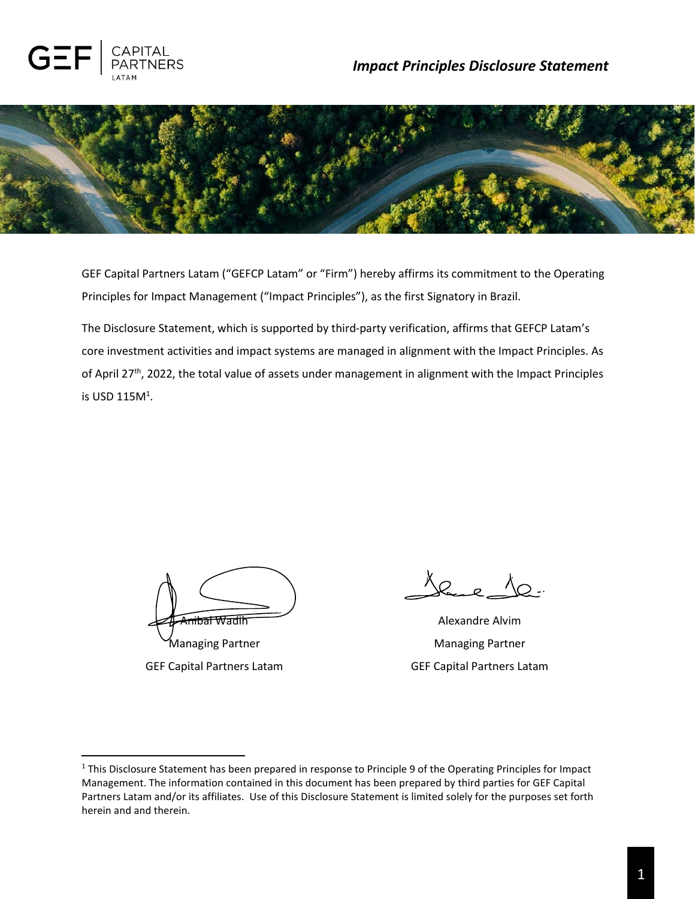



GEF Capital Partners Latam ("GEFCP Latam" or "Firm") hereby affirms its commitment to the Operating Principles for Impact Management ("Impact Principles"), as the first Signatory in Brazil.

The Disclosure Statement, which is supported by third-party verification, affirms that GEFCP Latam's core investment activities and impact systems are managed in alignment with the Impact Principles. As of April 27<sup>th</sup>, 2022, the total value of assets under management in alignment with the Impact Principles is USD 115 $M<sup>1</sup>$ .

<del>nibal Wadi</del>h

Managing Partner GEF Capital Partners Latam

Jace

Alexandre Alvim Managing Partner GEF Capital Partners Latam

<sup>&</sup>lt;sup>1</sup> This Disclosure Statement has been prepared in response to Principle 9 of the Operating Principles for Impact Management. The information contained in this document has been prepared by third parties for GEF Capital Partners Latam and/or its affiliates. Use of this Disclosure Statement is limited solely for the purposes set forth herein and and therein.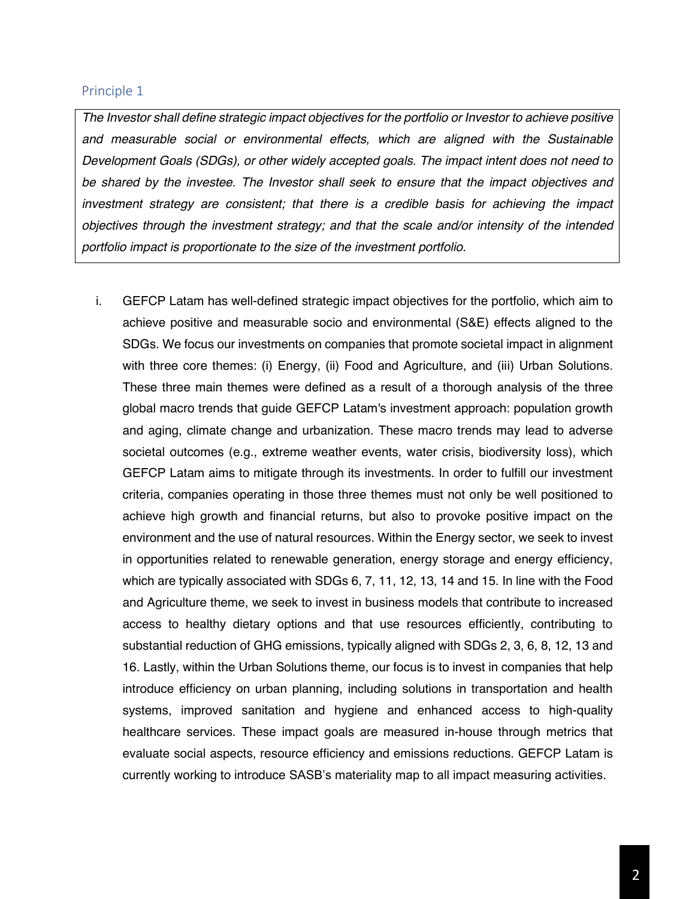#### Principle 1

*The Investor shall define strategic impact objectives for the portfolio or Investor to achieve positive and measurable social or environmental effects, which are aligned with the Sustainable Development Goals (SDGs), or other widely accepted goals. The impact intent does not need to be shared by the investee. The Investor shall seek to ensure that the impact objectives and investment strategy are consistent; that there is a credible basis for achieving the impact objectives through the investment strategy; and that the scale and/or intensity of the intended portfolio impact is proportionate to the size of the investment portfolio.*

i. GEFCP Latam has well-defined strategic impact objectives for the portfolio, which aim to achieve positive and measurable socio and environmental (S&E) effects aligned to the SDGs. We focus our investments on companies that promote societal impact in alignment with three core themes: (i) Energy, (ii) Food and Agriculture, and (iii) Urban Solutions. These three main themes were defined as a result of a thorough analysis of the three global macro trends that guide GEFCP Latam's investment approach: population growth and aging, climate change and urbanization. These macro trends may lead to adverse societal outcomes (e.g., extreme weather events, water crisis, biodiversity loss), which GEFCP Latam aims to mitigate through its investments. In order to fulfill our investment criteria, companies operating in those three themes must not only be well positioned to achieve high growth and financial returns, but also to provoke positive impact on the environment and the use of natural resources. Within the Energy sector, we seek to invest in opportunities related to renewable generation, energy storage and energy efficiency, which are typically associated with SDGs 6, 7, 11, 12, 13, 14 and 15. In line with the Food and Agriculture theme, we seek to invest in business models that contribute to increased access to healthy dietary options and that use resources efficiently, contributing to substantial reduction of GHG emissions, typically aligned with SDGs 2, 3, 6, 8, 12, 13 and 16. Lastly, within the Urban Solutions theme, our focus is to invest in companies that help introduce efficiency on urban planning, including solutions in transportation and health systems, improved sanitation and hygiene and enhanced access to high-quality healthcare services. These impact goals are measured in-house through metrics that evaluate social aspects, resource efficiency and emissions reductions. GEFCP Latam is currently working to introduce SASB's materiality map to all impact measuring activities.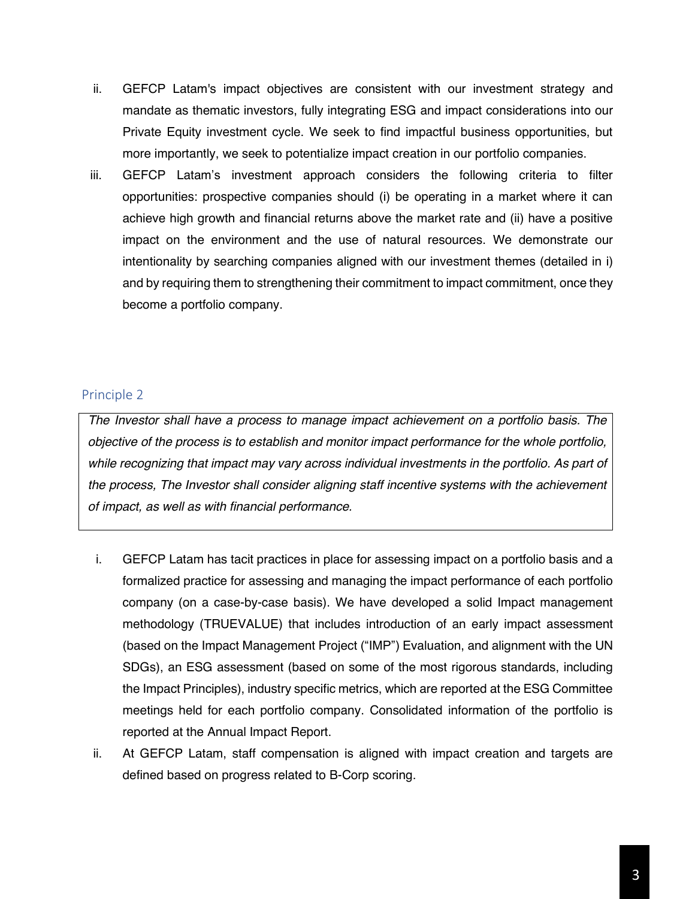- ii. GEFCP Latam's impact objectives are consistent with our investment strategy and mandate as thematic investors, fully integrating ESG and impact considerations into our Private Equity investment cycle. We seek to find impactful business opportunities, but more importantly, we seek to potentialize impact creation in our portfolio companies.
- iii. GEFCP Latam's investment approach considers the following criteria to filter opportunities: prospective companies should (i) be operating in a market where it can achieve high growth and financial returns above the market rate and (ii) have a positive impact on the environment and the use of natural resources. We demonstrate our intentionality by searching companies aligned with our investment themes (detailed in i) and by requiring them to strengthening their commitment to impact commitment, once they become a portfolio company.

# Principle 2

*The Investor shall have a process to manage impact achievement on a portfolio basis. The objective of the process is to establish and monitor impact performance for the whole portfolio, while recognizing that impact may vary across individual investments in the portfolio. As part of the process, The Investor shall consider aligning staff incentive systems with the achievement of impact, as well as with financial performance.*

- i. GEFCP Latam has tacit practices in place for assessing impact on a portfolio basis and a formalized practice for assessing and managing the impact performance of each portfolio company (on a case-by-case basis). We have developed a solid Impact management methodology (TRUEVALUE) that includes introduction of an early impact assessment (based on the Impact Management Project ("IMP") Evaluation, and alignment with the UN SDGs), an ESG assessment (based on some of the most rigorous standards, including the Impact Principles), industry specific metrics, which are reported at the ESG Committee meetings held for each portfolio company. Consolidated information of the portfolio is reported at the Annual Impact Report.
- ii. At GEFCP Latam, staff compensation is aligned with impact creation and targets are defined based on progress related to B-Corp scoring.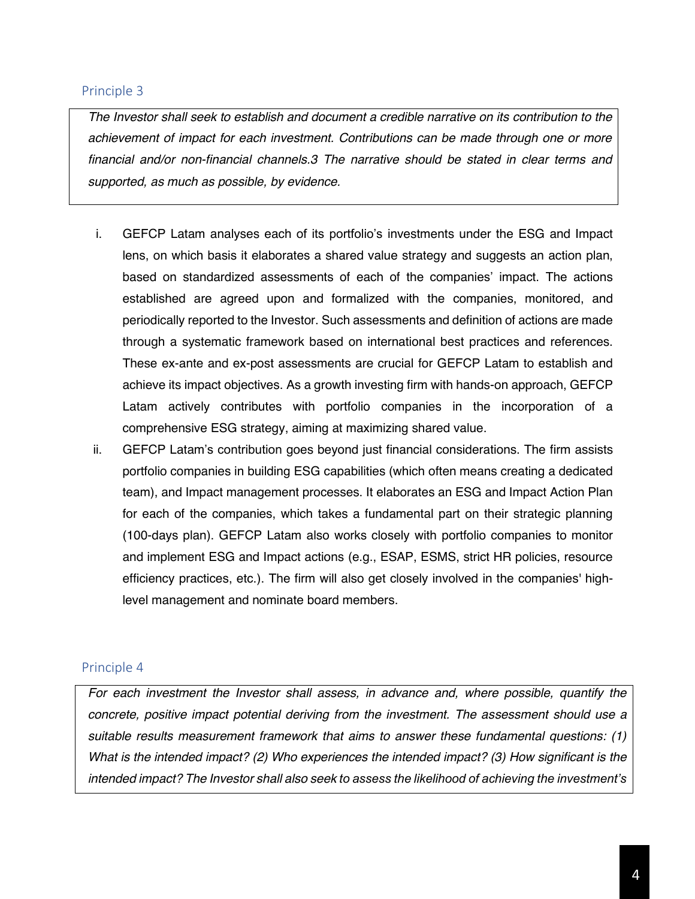#### Principle 3

*The Investor shall seek to establish and document a credible narrative on its contribution to the achievement of impact for each investment. Contributions can be made through one or more financial and/or non-financial channels.3 The narrative should be stated in clear terms and supported, as much as possible, by evidence.*

- i. GEFCP Latam analyses each of its portfolio's investments under the ESG and Impact lens, on which basis it elaborates a shared value strategy and suggests an action plan, based on standardized assessments of each of the companies' impact. The actions established are agreed upon and formalized with the companies, monitored, and periodically reported to the Investor. Such assessments and definition of actions are made through a systematic framework based on international best practices and references. These ex-ante and ex-post assessments are crucial for GEFCP Latam to establish and achieve its impact objectives. As a growth investing firm with hands-on approach, GEFCP Latam actively contributes with portfolio companies in the incorporation of a comprehensive ESG strategy, aiming at maximizing shared value.
- ii. GEFCP Latam's contribution goes beyond just financial considerations. The firm assists portfolio companies in building ESG capabilities (which often means creating a dedicated team), and Impact management processes. It elaborates an ESG and Impact Action Plan for each of the companies, which takes a fundamental part on their strategic planning (100-days plan). GEFCP Latam also works closely with portfolio companies to monitor and implement ESG and Impact actions (e.g., ESAP, ESMS, strict HR policies, resource efficiency practices, etc.). The firm will also get closely involved in the companies' highlevel management and nominate board members.

#### Principle 4

*For each investment the Investor shall assess, in advance and, where possible, quantify the concrete, positive impact potential deriving from the investment. The assessment should use a suitable results measurement framework that aims to answer these fundamental questions: (1) What is the intended impact? (2) Who experiences the intended impact? (3) How significant is the intended impact? The Investor shall also seek to assess the likelihood of achieving the investment's*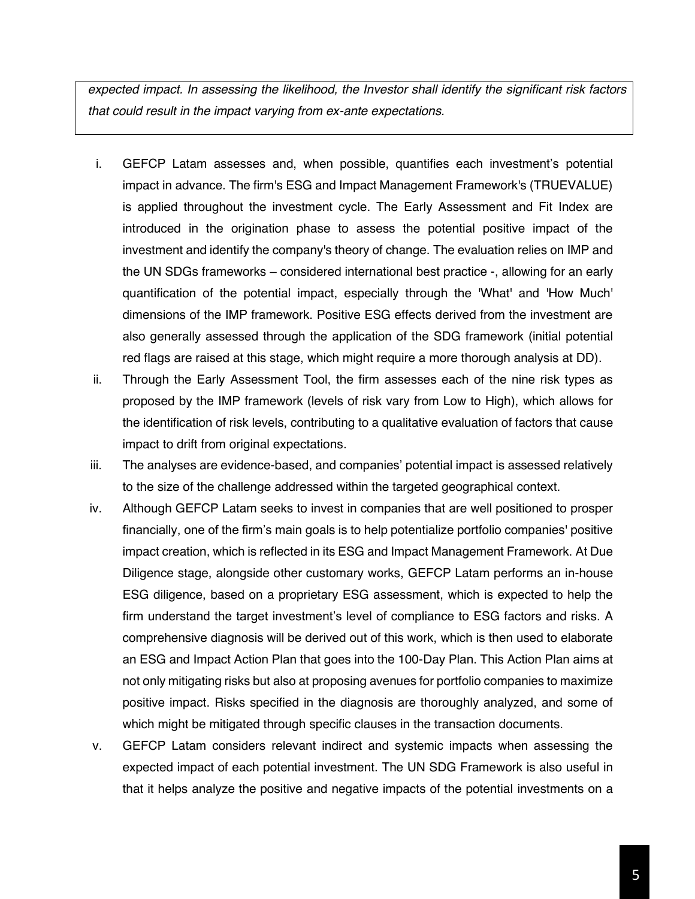*expected impact. In assessing the likelihood, the Investor shall identify the significant risk factors that could result in the impact varying from ex-ante expectations.*

- i. GEFCP Latam assesses and, when possible, quantifies each investment's potential impact in advance. The firm's ESG and Impact Management Framework's (TRUEVALUE) is applied throughout the investment cycle. The Early Assessment and Fit Index are introduced in the origination phase to assess the potential positive impact of the investment and identify the company's theory of change. The evaluation relies on IMP and the UN SDGs frameworks – considered international best practice -, allowing for an early quantification of the potential impact, especially through the 'What' and 'How Much' dimensions of the IMP framework. Positive ESG effects derived from the investment are also generally assessed through the application of the SDG framework (initial potential red flags are raised at this stage, which might require a more thorough analysis at DD).
- ii. Through the Early Assessment Tool, the firm assesses each of the nine risk types as proposed by the IMP framework (levels of risk vary from Low to High), which allows for the identification of risk levels, contributing to a qualitative evaluation of factors that cause impact to drift from original expectations.
- iii. The analyses are evidence-based, and companies' potential impact is assessed relatively to the size of the challenge addressed within the targeted geographical context.
- iv. Although GEFCP Latam seeks to invest in companies that are well positioned to prosper financially, one of the firm's main goals is to help potentialize portfolio companies' positive impact creation, which is reflected in its ESG and Impact Management Framework. At Due Diligence stage, alongside other customary works, GEFCP Latam performs an in-house ESG diligence, based on a proprietary ESG assessment, which is expected to help the firm understand the target investment's level of compliance to ESG factors and risks. A comprehensive diagnosis will be derived out of this work, which is then used to elaborate an ESG and Impact Action Plan that goes into the 100-Day Plan. This Action Plan aims at not only mitigating risks but also at proposing avenues for portfolio companies to maximize positive impact. Risks specified in the diagnosis are thoroughly analyzed, and some of which might be mitigated through specific clauses in the transaction documents.
- v. GEFCP Latam considers relevant indirect and systemic impacts when assessing the expected impact of each potential investment. The UN SDG Framework is also useful in that it helps analyze the positive and negative impacts of the potential investments on a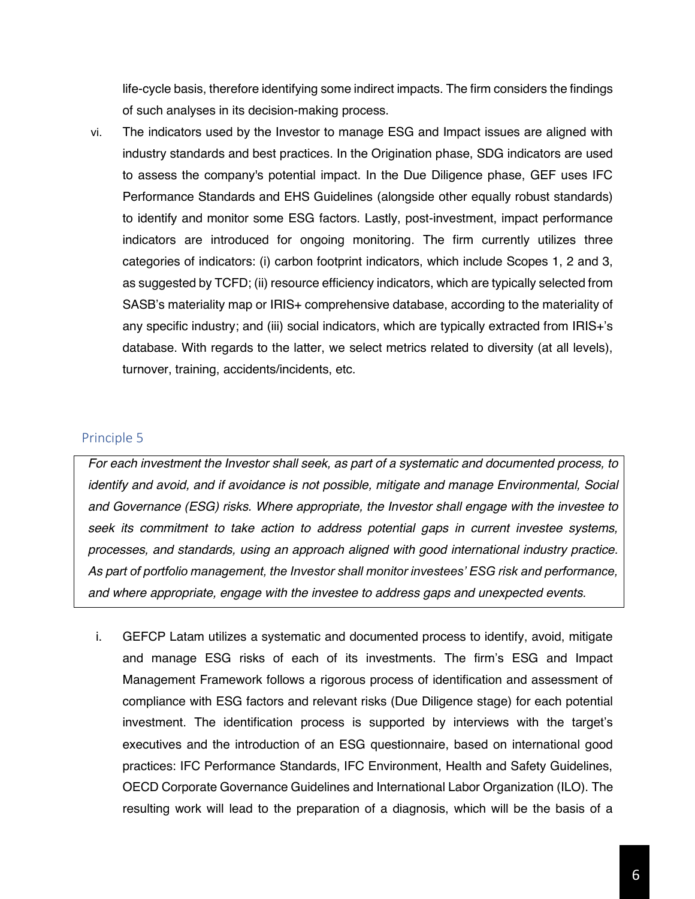life-cycle basis, therefore identifying some indirect impacts. The firm considers the findings of such analyses in its decision-making process.

vi. The indicators used by the Investor to manage ESG and Impact issues are aligned with industry standards and best practices. In the Origination phase, SDG indicators are used to assess the company's potential impact. In the Due Diligence phase, GEF uses IFC Performance Standards and EHS Guidelines (alongside other equally robust standards) to identify and monitor some ESG factors. Lastly, post-investment, impact performance indicators are introduced for ongoing monitoring. The firm currently utilizes three categories of indicators: (i) carbon footprint indicators, which include Scopes 1, 2 and 3, as suggested by TCFD; (ii) resource efficiency indicators, which are typically selected from SASB's materiality map or IRIS+ comprehensive database, according to the materiality of any specific industry; and (iii) social indicators, which are typically extracted from  $IRIS+^s$ s database. With regards to the latter, we select metrics related to diversity (at all levels), turnover, training, accidents/incidents, etc.

### Principle 5

*For each investment the Investor shall seek, as part of a systematic and documented process, to identify and avoid, and if avoidance is not possible, mitigate and manage Environmental, Social and Governance (ESG) risks. Where appropriate, the Investor shall engage with the investee to seek its commitment to take action to address potential gaps in current investee systems, processes, and standards, using an approach aligned with good international industry practice.*  As part of portfolio management, the Investor shall monitor investees' ESG risk and performance, *and where appropriate, engage with the investee to address gaps and unexpected events.*

i. GEFCP Latam utilizes a systematic and documented process to identify, avoid, mitigate and manage ESG risks of each of its investments. The firm's ESG and Impact Management Framework follows a rigorous process of identification and assessment of compliance with ESG factors and relevant risks (Due Diligence stage) for each potential investment. The identification process is supported by interviews with the target's executives and the introduction of an ESG questionnaire, based on international good practices: IFC Performance Standards, IFC Environment, Health and Safety Guidelines, OECD Corporate Governance Guidelines and International Labor Organization (ILO). The resulting work will lead to the preparation of a diagnosis, which will be the basis of a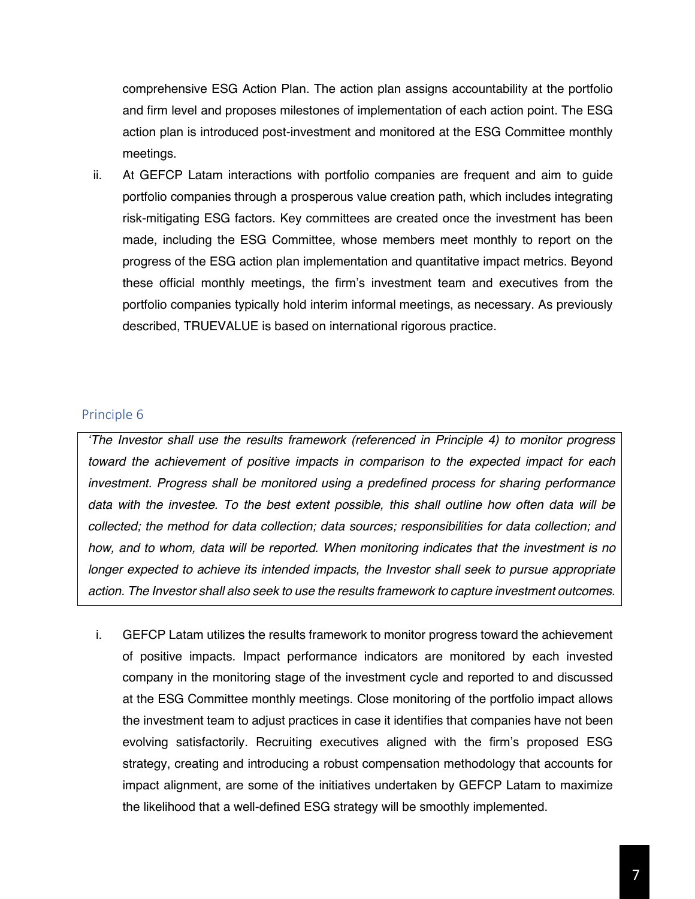comprehensive ESG Action Plan. The action plan assigns accountability at the portfolio and firm level and proposes milestones of implementation of each action point. The ESG action plan is introduced post-investment and monitored at the ESG Committee monthly meetings.

ii. At GEFCP Latam interactions with portfolio companies are frequent and aim to guide portfolio companies through a prosperous value creation path, which includes integrating risk-mitigating ESG factors. Key committees are created once the investment has been made, including the ESG Committee, whose members meet monthly to report on the progress of the ESG action plan implementation and quantitative impact metrics. Beyond these official monthly meetings, the firm's investment team and executives from the portfolio companies typically hold interim informal meetings, as necessary. As previously described, TRUEVALUE is based on international rigorous practice.

### Principle 6

*µThe Investor shall use the results framework (referenced in Principle 4) to monitor progress toward the achievement of positive impacts in comparison to the expected impact for each investment. Progress shall be monitored using a predefined process for sharing performance data with the investee. To the best extent possible, this shall outline how often data will be collected; the method for data collection; data sources; responsibilities for data collection; and how, and to whom, data will be reported. When monitoring indicates that the investment is no longer expected to achieve its intended impacts, the Investor shall seek to pursue appropriate action. The Investor shall also seek to use the results framework to capture investment outcomes.*

i. GEFCP Latam utilizes the results framework to monitor progress toward the achievement of positive impacts. Impact performance indicators are monitored by each invested company in the monitoring stage of the investment cycle and reported to and discussed at the ESG Committee monthly meetings. Close monitoring of the portfolio impact allows the investment team to adjust practices in case it identifies that companies have not been evolving satisfactorily. Recruiting executives aligned with the firm's proposed ESG strategy, creating and introducing a robust compensation methodology that accounts for impact alignment, are some of the initiatives undertaken by GEFCP Latam to maximize the likelihood that a well-defined ESG strategy will be smoothly implemented.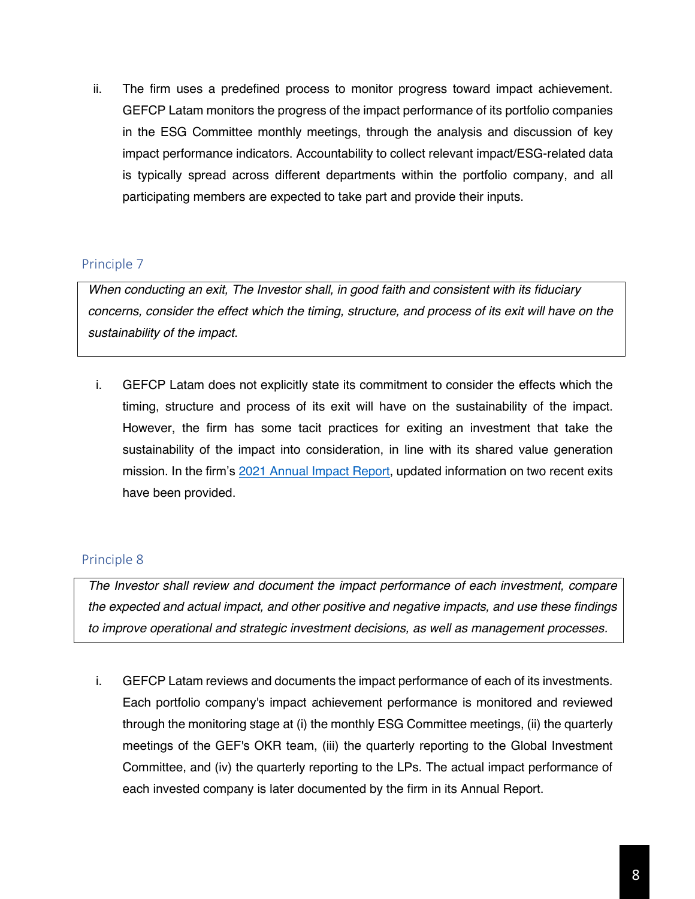ii. The firm uses a predefined process to monitor progress toward impact achievement. GEFCP Latam monitors the progress of the impact performance of its portfolio companies in the ESG Committee monthly meetings, through the analysis and discussion of key impact performance indicators. Accountability to collect relevant impact/ESG-related data is typically spread across different departments within the portfolio company, and all participating members are expected to take part and provide their inputs.

# Principle 7

*When conducting an exit, The Investor shall, in good faith and consistent with its fiduciary concerns, consider the effect which the timing, structure, and process of its exit will have on the sustainability of the impact.*

i. GEFCP Latam does not explicitly state its commitment to consider the effects which the timing, structure and process of its exit will have on the sustainability of the impact. However, the firm has some tacit practices for exiting an investment that take the sustainability of the impact into consideration, in line with its shared value generation mission. In the firm's 2021 [Annual Impact Report,](https://gefcapital.com/capital-partners/impact/) updated information on two recent exits have been provided.

## Principle 8

*The Investor shall review and document the impact performance of each investment, compare the expected and actual impact, and other positive and negative impacts, and use these findings to improve operational and strategic investment decisions, as well as management processes.*

i. GEFCP Latam reviews and documents the impact performance of each of its investments. Each portfolio company's impact achievement performance is monitored and reviewed through the monitoring stage at (i) the monthly ESG Committee meetings, (ii) the quarterly meetings of the GEF's OKR team, (iii) the quarterly reporting to the Global Investment Committee, and (iv) the quarterly reporting to the LPs. The actual impact performance of each invested company is later documented by the firm in its Annual Report.